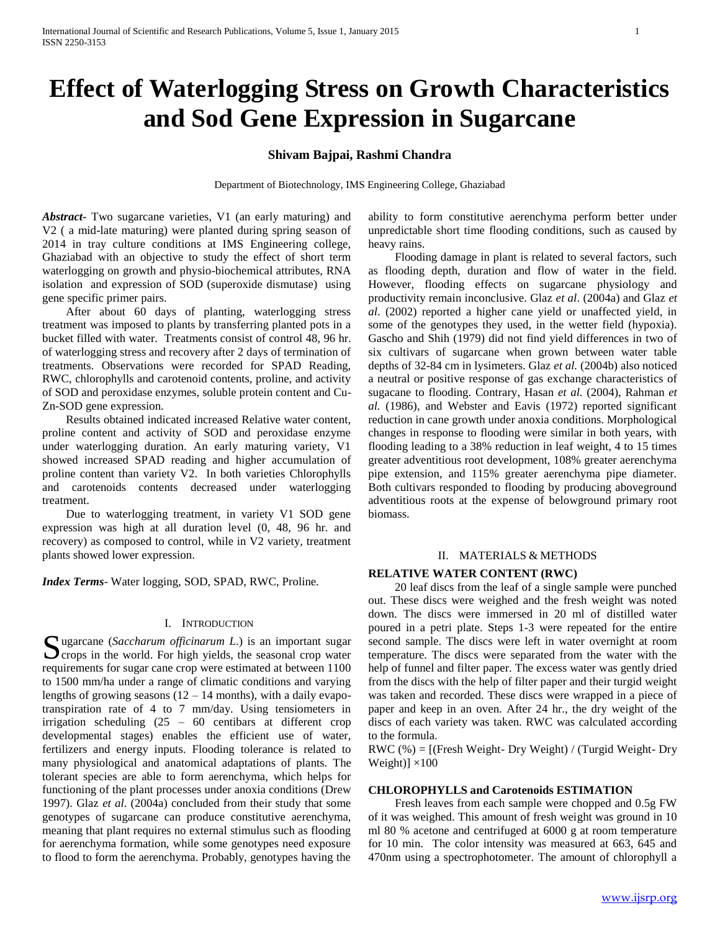# **Effect of Waterlogging Stress on Growth Characteristics and Sod Gene Expression in Sugarcane**

## **Shivam Bajpai, Rashmi Chandra**

Department of Biotechnology, IMS Engineering College, Ghaziabad

*Abstract***-** Two sugarcane varieties, V1 (an early maturing) and V2 ( a mid-late maturing) were planted during spring season of 2014 in tray culture conditions at IMS Engineering college, Ghaziabad with an objective to study the effect of short term waterlogging on growth and physio-biochemical attributes, RNA isolation and expression of SOD (superoxide dismutase) using gene specific primer pairs.

 After about 60 days of planting, waterlogging stress treatment was imposed to plants by transferring planted pots in a bucket filled with water. Treatments consist of control 48, 96 hr. of waterlogging stress and recovery after 2 days of termination of treatments. Observations were recorded for SPAD Reading, RWC, chlorophylls and carotenoid contents, proline, and activity of SOD and peroxidase enzymes, soluble protein content and Cu-Zn-SOD gene expression.

 Results obtained indicated increased Relative water content, proline content and activity of SOD and peroxidase enzyme under waterlogging duration. An early maturing variety, V1 showed increased SPAD reading and higher accumulation of proline content than variety V2. In both varieties Chlorophylls and carotenoids contents decreased under waterlogging treatment.

 Due to waterlogging treatment, in variety V1 SOD gene expression was high at all duration level (0, 48, 96 hr. and recovery) as composed to control, while in V2 variety, treatment plants showed lower expression.

*Index Terms*- Water logging, SOD, SPAD, RWC, Proline.

## I. INTRODUCTION

Sugarcane (*Saccharum officinarum L*.) is an important sugar crops in the world. For high yields, the seasonal crop water  $\sum$  crops in the world. For high yields, the seasonal crop water requirements for sugar cane crop were estimated at between 1100 to 1500 mm/ha under a range of climatic conditions and varying lengths of growing seasons  $(12 – 14$  months), with a daily evapotranspiration rate of 4 to 7 mm/day. Using tensiometers in irrigation scheduling (25 – 60 centibars at different crop developmental stages) enables the efficient use of water, fertilizers and energy inputs. Flooding tolerance is related to many physiological and anatomical adaptations of plants. The tolerant species are able to form aerenchyma, which helps for functioning of the plant processes under anoxia conditions (Drew 1997). Glaz *et al*. (2004a) concluded from their study that some genotypes of sugarcane can produce constitutive aerenchyma, meaning that plant requires no external stimulus such as flooding for aerenchyma formation, while some genotypes need exposure to flood to form the aerenchyma. Probably, genotypes having the

ability to form constitutive aerenchyma perform better under unpredictable short time flooding conditions, such as caused by heavy rains.

 Flooding damage in plant is related to several factors, such as flooding depth, duration and flow of water in the field. However, flooding effects on sugarcane physiology and productivity remain inconclusive. Glaz *et al*. (2004a) and Glaz *et al*. (2002) reported a higher cane yield or unaffected yield, in some of the genotypes they used, in the wetter field (hypoxia). Gascho and Shih (1979) did not find yield differences in two of six cultivars of sugarcane when grown between water table depths of 32-84 cm in lysimeters. Glaz *et al.* (2004b) also noticed a neutral or positive response of gas exchange characteristics of sugacane to flooding. Contrary, Hasan *et al.* (2004), Rahman *et al.* (1986), and Webster and Eavis (1972) reported significant reduction in cane growth under anoxia conditions. Morphological changes in response to flooding were similar in both years, with flooding leading to a 38% reduction in leaf weight, 4 to 15 times greater adventitious root development, 108% greater aerenchyma pipe extension, and 115% greater aerenchyma pipe diameter. Both cultivars responded to flooding by producing aboveground adventitious roots at the expense of belowground primary root biomass.

#### II. MATERIALS & METHODS

## **RELATIVE WATER CONTENT (RWC)**

 20 leaf discs from the leaf of a single sample were punched out. These discs were weighed and the fresh weight was noted down. The discs were immersed in 20 ml of distilled water poured in a petri plate. Steps 1-3 were repeated for the entire second sample. The discs were left in water overnight at room temperature. The discs were separated from the water with the help of funnel and filter paper. The excess water was gently dried from the discs with the help of filter paper and their turgid weight was taken and recorded. These discs were wrapped in a piece of paper and keep in an oven. After 24 hr., the dry weight of the discs of each variety was taken. RWC was calculated according to the formula.

RWC  $(\%) =$  [(Fresh Weight- Dry Weight) / (Turgid Weight- Dry Weight)]  $\times$ 100

## **CHLOROPHYLLS and Carotenoids ESTIMATION**

 Fresh leaves from each sample were chopped and 0.5g FW of it was weighed. This amount of fresh weight was ground in 10 ml 80 % acetone and centrifuged at 6000 g at room temperature for 10 min. The color intensity was measured at 663, 645 and 470nm using a spectrophotometer. The amount of chlorophyll a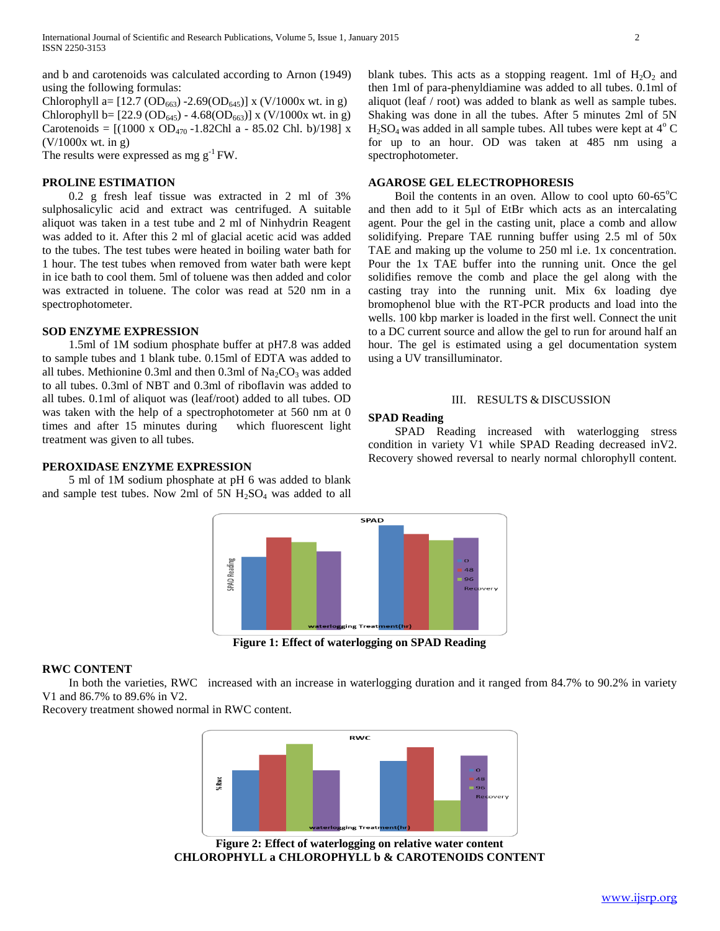and b and carotenoids was calculated according to Arnon (1949) using the following formulas:

Chlorophyll a=  $[12.7 \text{ (OD}_{663)} - 2.69 \text{ (OD}_{645)}]$  x (V/1000x wt. in g) Chlorophyll b=  $[22.9 \text{ (OD}_{645}) - 4.68 \text{ (OD}_{663})]$  x (V/1000x wt. in g) Carotenoids =  $[(1000 \times OD_{470} - 1.82Ch1 a - 85.02 Ch1. b)/198]$  x (V/1000x wt. in g)

The results were expressed as mg  $g^{-1}$  FW.

## **PROLINE ESTIMATION**

 0.2 g fresh leaf tissue was extracted in 2 ml of 3% sulphosalicylic acid and extract was centrifuged. A suitable aliquot was taken in a test tube and 2 ml of Ninhydrin Reagent was added to it. After this 2 ml of glacial acetic acid was added to the tubes. The test tubes were heated in boiling water bath for 1 hour. The test tubes when removed from water bath were kept in ice bath to cool them. 5ml of toluene was then added and color was extracted in toluene. The color was read at 520 nm in a spectrophotometer.

#### **SOD ENZYME EXPRESSION**

 1.5ml of 1M sodium phosphate buffer at pH7.8 was added to sample tubes and 1 blank tube. 0.15ml of EDTA was added to all tubes. Methionine 0.3ml and then 0.3ml of  $Na_2CO_3$  was added to all tubes. 0.3ml of NBT and 0.3ml of riboflavin was added to all tubes. 0.1ml of aliquot was (leaf/root) added to all tubes. OD was taken with the help of a spectrophotometer at 560 nm at 0 times and after 15 minutes during which fluorescent light treatment was given to all tubes.

**PEROXIDASE ENZYME EXPRESSION**

 5 ml of 1M sodium phosphate at pH 6 was added to blank and sample test tubes. Now 2ml of 5N  $H<sub>2</sub>SO<sub>4</sub>$  was added to all



**Figure 1: Effect of waterlogging on SPAD Reading**

#### **RWC CONTENT**

 In both the varieties, RWC increased with an increase in waterlogging duration and it ranged from 84.7% to 90.2% in variety V1 and 86.7% to 89.6% in V2.

Recovery treatment showed normal in RWC content.



**Figure 2: Effect of waterlogging on relative water content CHLOROPHYLL a CHLOROPHYLL b & CAROTENOIDS CONTENT**

blank tubes. This acts as a stopping reagent. 1ml of  $H_2O_2$  and then 1ml of para-phenyldiamine was added to all tubes. 0.1ml of aliquot (leaf / root) was added to blank as well as sample tubes. Shaking was done in all the tubes. After 5 minutes 2ml of 5N  $H<sub>2</sub>SO<sub>4</sub>$  was added in all sample tubes. All tubes were kept at  $4^{\circ}$  C for up to an hour. OD was taken at 485 nm using a spectrophotometer.

#### **AGAROSE GEL ELECTROPHORESIS**

Boil the contents in an oven. Allow to cool upto  $60-65^{\circ}$ C and then add to it 5µl of EtBr which acts as an intercalating agent. Pour the gel in the casting unit, place a comb and allow solidifying. Prepare TAE running buffer using 2.5 ml of 50x TAE and making up the volume to 250 ml i.e. 1x concentration. Pour the 1x TAE buffer into the running unit. Once the gel solidifies remove the comb and place the gel along with the casting tray into the running unit. Mix 6x loading dye bromophenol blue with the RT-PCR products and load into the wells. 100 kbp marker is loaded in the first well. Connect the unit to a DC current source and allow the gel to run for around half an hour. The gel is estimated using a gel documentation system using a UV transilluminator.

## III. RESULTS & DISCUSSION

#### **SPAD Reading**

 SPAD Reading increased with waterlogging stress condition in variety V1 while SPAD Reading decreased inV2. Recovery showed reversal to nearly normal chlorophyll content.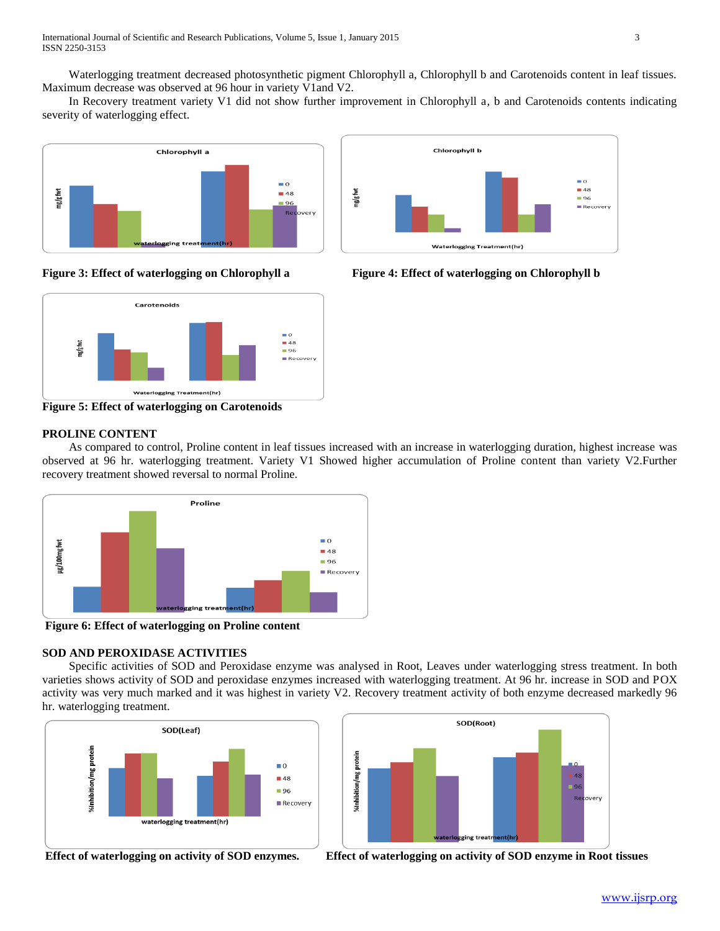Waterlogging treatment decreased photosynthetic pigment Chlorophyll a, Chlorophyll b and Carotenoids content in leaf tissues. Maximum decrease was observed at 96 hour in variety V1and V2.

 In Recovery treatment variety V1 did not show further improvement in Chlorophyll a, b and Carotenoids contents indicating severity of waterlogging effect.







**Figure 5: Effect of waterlogging on Carotenoids** 

# **PROLINE CONTENT**

 As compared to control, Proline content in leaf tissues increased with an increase in waterlogging duration, highest increase was observed at 96 hr. waterlogging treatment. Variety V1 Showed higher accumulation of Proline content than variety V2.Further recovery treatment showed reversal to normal Proline.



**Figure 6: Effect of waterlogging on Proline content**

# **SOD AND PEROXIDASE ACTIVITIES**

 Specific activities of SOD and Peroxidase enzyme was analysed in Root, Leaves under waterlogging stress treatment. In both varieties shows activity of SOD and peroxidase enzymes increased with waterlogging treatment. At 96 hr. increase in SOD and POX activity was very much marked and it was highest in variety V2. Recovery treatment activity of both enzyme decreased markedly 96 hr. waterlogging treatment.





**Effect of waterlogging on activity of SOD enzymes. Effect of waterlogging on activity of SOD enzyme in Root tissues**

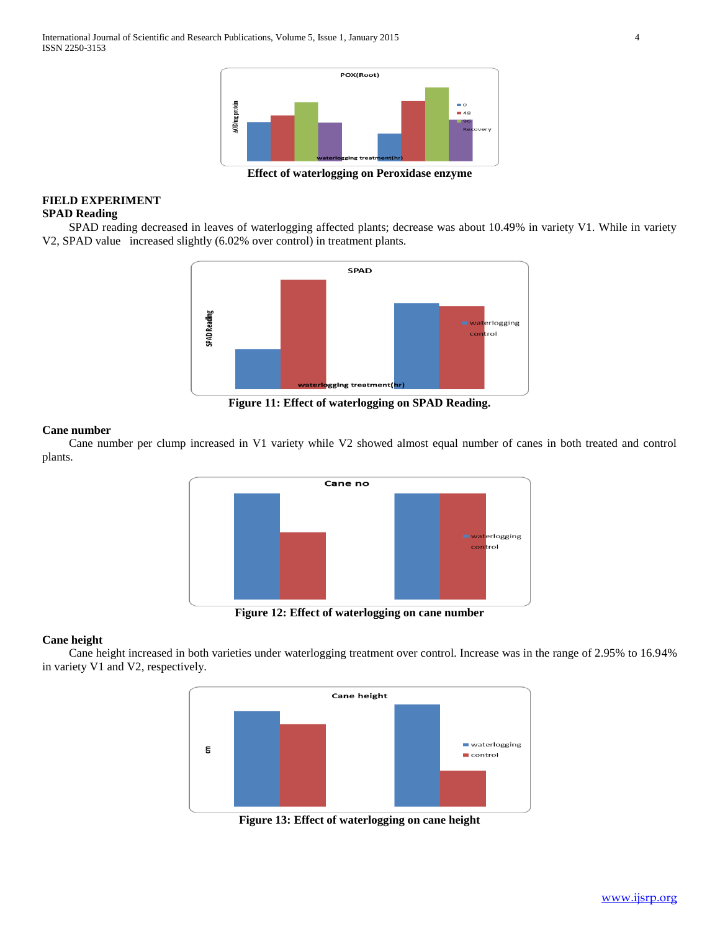

**Effect of waterlogging on Peroxidase enzyme**

## **FIELD EXPERIMENT SPAD Reading**

 SPAD reading decreased in leaves of waterlogging affected plants; decrease was about 10.49% in variety V1. While in variety V2, SPAD value increased slightly (6.02% over control) in treatment plants.



**Figure 11: Effect of waterlogging on SPAD Reading.**

## **Cane number**

 Cane number per clump increased in V1 variety while V2 showed almost equal number of canes in both treated and control plants.



**Figure 12: Effect of waterlogging on cane number**

## **Cane height**

 Cane height increased in both varieties under waterlogging treatment over control. Increase was in the range of 2.95% to 16.94% in variety V1 and V2, respectively.



**Figure 13: Effect of waterlogging on cane height**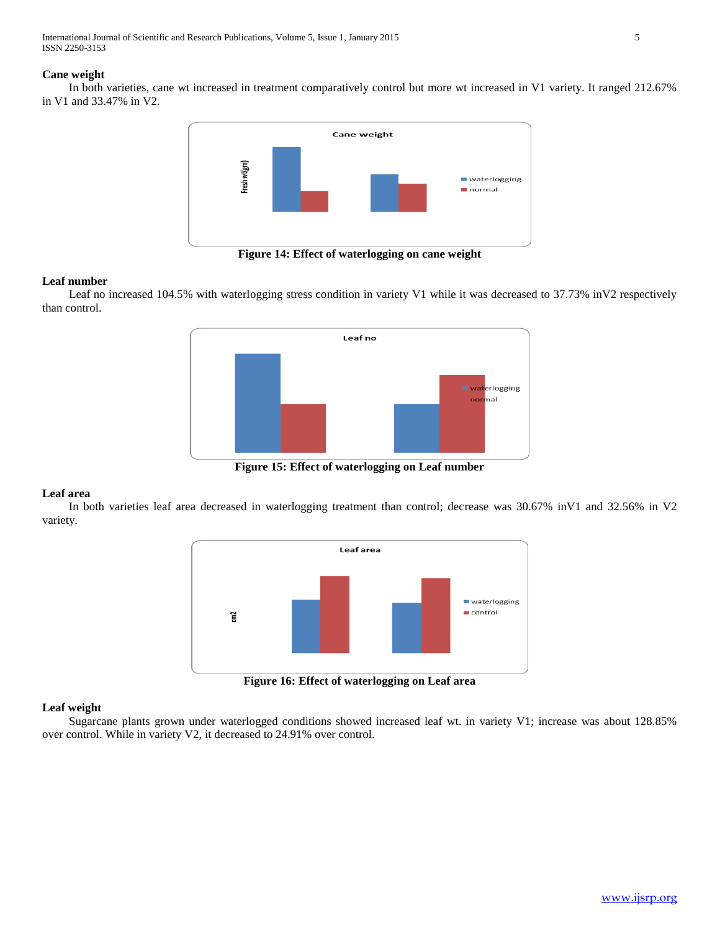International Journal of Scientific and Research Publications, Volume 5, Issue 1, January 2015 5 ISSN 2250-3153

## **Cane weight**

 In both varieties, cane wt increased in treatment comparatively control but more wt increased in V1 variety. It ranged 212.67% in V1 and 33.47% in V2.



**Figure 14: Effect of waterlogging on cane weight**

## **Leaf number**

 Leaf no increased 104.5% with waterlogging stress condition in variety V1 while it was decreased to 37.73% inV2 respectively than control.



**Figure 15: Effect of waterlogging on Leaf number**

## **Leaf area**

 In both varieties leaf area decreased in waterlogging treatment than control; decrease was 30.67% inV1 and 32.56% in V2 variety.



**Figure 16: Effect of waterlogging on Leaf area**

## **Leaf weight**

 Sugarcane plants grown under waterlogged conditions showed increased leaf wt. in variety V1; increase was about 128.85% over control. While in variety V2, it decreased to 24.91% over control.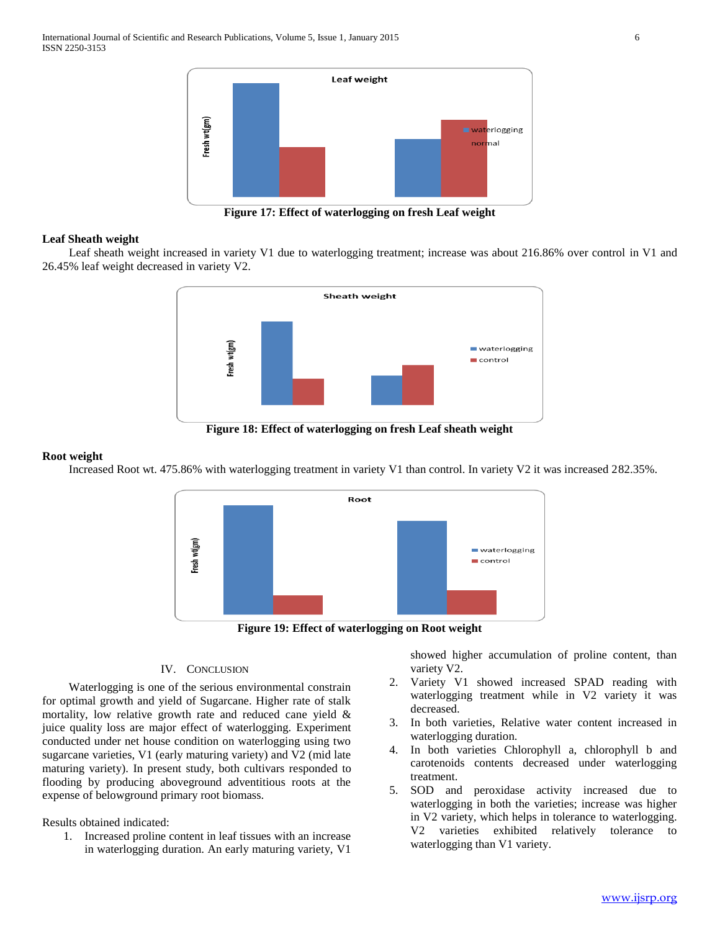

**Figure 17: Effect of waterlogging on fresh Leaf weight**

## **Leaf Sheath weight**

 Leaf sheath weight increased in variety V1 due to waterlogging treatment; increase was about 216.86% over control in V1 and 26.45% leaf weight decreased in variety V2.



**Figure 18: Effect of waterlogging on fresh Leaf sheath weight**

## **Root weight**

Increased Root wt. 475.86% with waterlogging treatment in variety V1 than control. In variety V2 it was increased 282.35%.





## IV. CONCLUSION

 Waterlogging is one of the serious environmental constrain for optimal growth and yield of Sugarcane. Higher rate of stalk mortality, low relative growth rate and reduced cane yield & juice quality loss are major effect of waterlogging. Experiment conducted under net house condition on waterlogging using two sugarcane varieties, V1 (early maturing variety) and V2 (mid late maturing variety). In present study, both cultivars responded to flooding by producing aboveground adventitious roots at the expense of belowground primary root biomass.

Results obtained indicated:

1. Increased proline content in leaf tissues with an increase in waterlogging duration. An early maturing variety, V1

showed higher accumulation of proline content, than variety V2.

- 2. Variety V1 showed increased SPAD reading with waterlogging treatment while in V2 variety it was decreased.
- 3. In both varieties, Relative water content increased in waterlogging duration.
- 4. In both varieties Chlorophyll a, chlorophyll b and carotenoids contents decreased under waterlogging treatment.
- 5. SOD and peroxidase activity increased due to waterlogging in both the varieties; increase was higher in V2 variety, which helps in tolerance to waterlogging. V2 varieties exhibited relatively tolerance to waterlogging than V1 variety.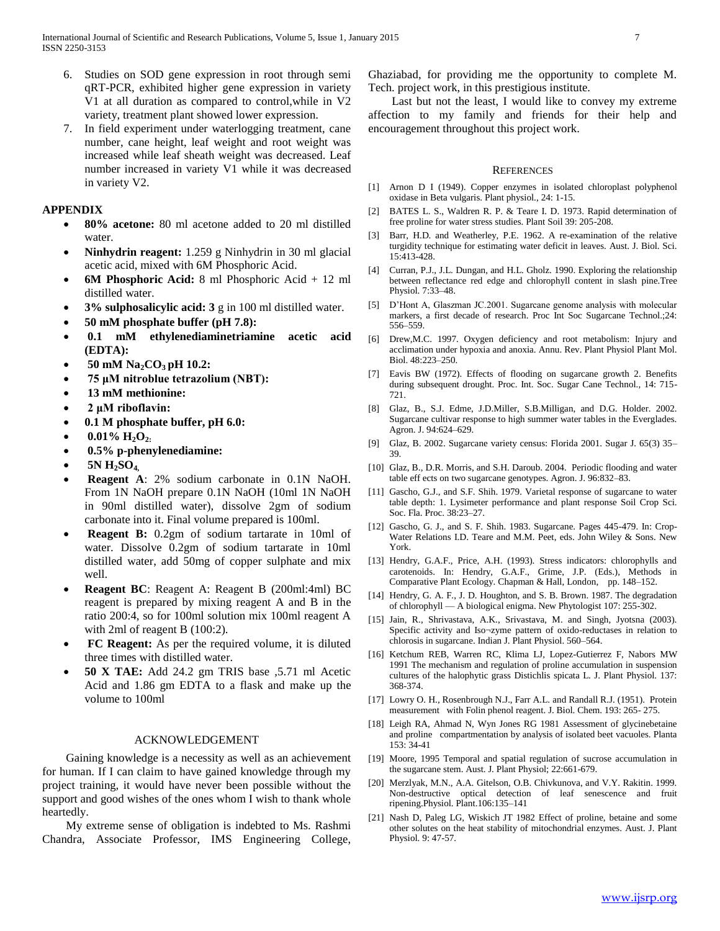- 6. Studies on SOD gene expression in root through semi qRT-PCR, exhibited higher gene expression in variety V1 at all duration as compared to control,while in V2 variety, treatment plant showed lower expression.
- 7. In field experiment under waterlogging treatment, cane number, cane height, leaf weight and root weight was increased while leaf sheath weight was decreased. Leaf number increased in variety V1 while it was decreased in variety V2.

## **APPENDIX**

- **80% acetone:** 80 ml acetone added to 20 ml distilled water.
- **Ninhydrin reagent:** 1.259 g Ninhydrin in 30 ml glacial acetic acid, mixed with 6M Phosphoric Acid.
- **6M Phosphoric Acid:** 8 ml Phosphoric Acid + 12 ml distilled water.
- **3% sulphosalicylic acid: 3** g in 100 ml distilled water.
- **50 mM phosphate buffer (pH 7.8):**
- **0.1 mM ethylenediaminetriamine acetic acid (EDTA):**
- **50 mM Na2CO3 pH 10.2:**
- **75 μM nitroblue tetrazolium (NBT):**
- **13 mM methionine:**
- **2 μM riboflavin:**
- **0.1 M phosphate buffer, pH 6.0:**
- **0.01% H2O2:**
- **0.5% p-phenylenediamine:**
- **5N H2SO4,**
- **Reagent A**: 2% sodium carbonate in 0.1N NaOH. From 1N NaOH prepare 0.1N NaOH (10ml 1N NaOH in 90ml distilled water), dissolve 2gm of sodium carbonate into it. Final volume prepared is 100ml.
- **Reagent B:** 0.2gm of sodium tartarate in 10ml of water. Dissolve 0.2gm of sodium tartarate in 10ml distilled water, add 50mg of copper sulphate and mix well.
- **Reagent BC**: Reagent A: Reagent B (200ml:4ml) BC reagent is prepared by mixing reagent A and B in the ratio 200:4, so for 100ml solution mix 100ml reagent A with 2ml of reagent B (100:2).
- **FC Reagent:** As per the required volume, it is diluted three times with distilled water.
- **50 X TAE:** Add 24.2 gm TRIS base ,5.71 ml Acetic Acid and 1.86 gm EDTA to a flask and make up the volume to 100ml

## ACKNOWLEDGEMENT

 Gaining knowledge is a necessity as well as an achievement for human. If I can claim to have gained knowledge through my project training, it would have never been possible without the support and good wishes of the ones whom I wish to thank whole heartedly.

 My extreme sense of obligation is indebted to Ms. Rashmi Chandra, Associate Professor, IMS Engineering College,

Ghaziabad, for providing me the opportunity to complete M. Tech. project work, in this prestigious institute.

 Last but not the least, I would like to convey my extreme affection to my family and friends for their help and encouragement throughout this project work.

#### **REFERENCES**

- [1] Arnon D I (1949). Copper enzymes in isolated chloroplast polyphenol oxidase in Beta vulgaris. Plant physiol., 24: 1-15.
- [2] BATES L. S., Waldren R. P. & Teare I. D. 1973. Rapid determination of free proline for water stress studies. Plant Soil 39: 205-208.
- [3] Barr, H.D. and Weatherley, P.E. 1962. A re-examination of the relative turgidity technique for estimating water deficit in leaves. Aust. J. Biol. Sci. 15:413-428.
- [4] Curran, P.J., J.L. Dungan, and H.L. Gholz. 1990. Exploring the relationship between reflectance red edge and chlorophyll content in slash pine.Tree Physiol. 7:33–48.
- [5] D'Hont A, Glaszman JC.2001. Sugarcane genome analysis with molecular markers, a first decade of research. Proc Int Soc Sugarcane Technol.;24: 556–559.
- [6] Drew,M.C. 1997. Oxygen deficiency and root metabolism: Injury and acclimation under hypoxia and anoxia. Annu. Rev. Plant Physiol Plant Mol. Biol. 48:223–250.
- [7] Eavis BW (1972). Effects of flooding on sugarcane growth 2. Benefits during subsequent drought. Proc. Int. Soc. Sugar Cane Technol., 14: 715- 721.
- [8] Glaz, B., S.J. Edme, J.D.Miller, S.B.Milligan, and D.G. Holder. 2002. Sugarcane cultivar response to high summer water tables in the Everglades. Agron. J. 94:624–629.
- [9] Glaz, B. 2002. Sugarcane variety census: Florida 2001. Sugar J. 65(3) 35– 39.
- [10] Glaz, B., D.R. Morris, and S.H. Daroub. 2004. Periodic flooding and water table eff ects on two sugarcane genotypes. Agron. J. 96:832–83.
- [11] Gascho, G.J., and S.F. Shih. 1979. Varietal response of sugarcane to water table depth: 1. Lysimeter performance and plant response Soil Crop Sci. Soc. Fla. Proc. 38:23–27.
- [12] Gascho, G. J., and S. F. Shih. 1983. Sugarcane. Pages 445-479. In: Crop-Water Relations I.D. Teare and M.M. Peet, eds. John Wiley & Sons. New York.
- [13] Hendry, G.A.F., Price, A.H. (1993). Stress indicators: chlorophylls and carotenoids. In: Hendry, G.A.F., Grime, J.P. (Eds.), Methods in Comparative Plant Ecology. Chapman & Hall, London, pp. 148–152.
- [14] Hendry, G. A. F., J. D. Houghton, and S. B. Brown. 1987. The degradation of chlorophyll — A biological enigma. New Phytologist 107: 255-302.
- [15] Jain, R., Shrivastava, A.K., Srivastava, M. and Singh, Jyotsna (2003). Specific activity and Iso¬zyme pattern of oxido-reductases in relation to chlorosis in sugarcane. Indian J. Plant Physiol. 560–564.
- [16] Ketchum REB, Warren RC, Klima LJ, Lopez-Gutierrez F, Nabors MW 1991 The mechanism and regulation of proline accumulation in suspension cultures of the halophytic grass Distichlis spicata L. J. Plant Physiol. 137: 368-374.
- [17] Lowry O. H., Rosenbrough N.J., Farr A.L. and Randall R.J. (1951). Protein measurement with Folin phenol reagent. J. Biol. Chem. 193: 265- 275.
- [18] Leigh RA, Ahmad N, Wyn Jones RG 1981 Assessment of glycinebetaine and proline compartmentation by analysis of isolated beet vacuoles. Planta 153: 34-41
- [19] Moore, 1995 Temporal and spatial regulation of sucrose accumulation in the sugarcane stem. Aust. J. Plant Physiol; 22:661-679.
- [20] Merzlyak, M.N., A.A. Gitelson, O.B. Chivkunova, and V.Y. Rakitin. 1999. Non-destructive optical detection of leaf senescence and fruit ripening.Physiol. Plant.106:135–141
- [21] Nash D, Paleg LG, Wiskich JT 1982 Effect of proline, betaine and some other solutes on the heat stability of mitochondrial enzymes. Aust. J. Plant Physiol. 9: 47-57.